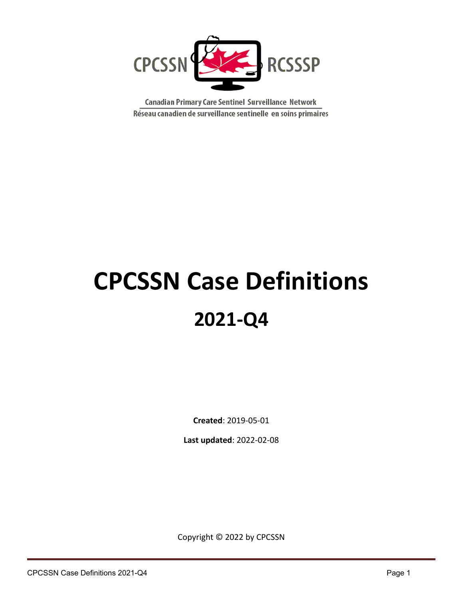

Canadian Primary Care Sentinel Surveillance Network Réseau canadien de surveillance sentinelle en soins primaires

# **CPCSSN Case Definitions 2021-Q4**

**Created**: 2019-05-01

**Last updated**: 2022-02-08

Copyright © 2022 by CPCSSN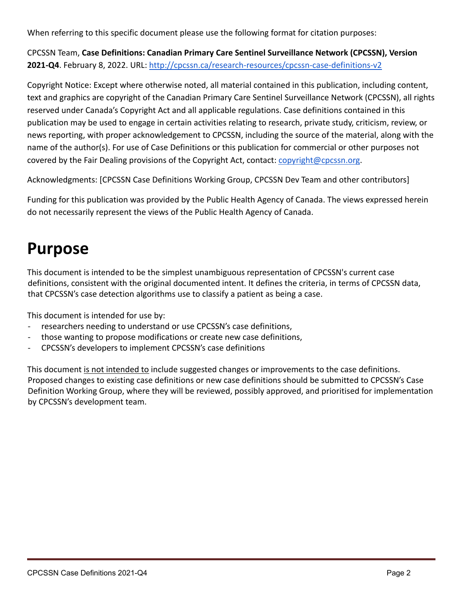When referring to this specific document please use the following format for citation purposes:

CPCSSN Team, **Case Definitions: Canadian Primary Care Sentinel Surveillance Network (CPCSSN), Version 2021-Q4**. February 8, 2022. URL: [http://cpcssn.ca/research-resources/cpcssn-case-definitions-v2](http://cpcssn.ca/research-resources/case-definitions-v2)

Copyright Notice: Except where otherwise noted, all material contained in this publication, including content, text and graphics are copyright of the Canadian Primary Care Sentinel Surveillance Network (CPCSSN), all rights reserved under Canada's Copyright Act and all applicable regulations. Case definitions contained in this publication may be used to engage in certain activities relating to research, private study, criticism, review, or news reporting, with proper acknowledgement to CPCSSN, including the source of the material, along with the name of the author(s). For use of Case Definitions or this publication for commercial or other purposes not covered by the Fair Dealing provisions of the Copyright Act, contact: [copyright@cpcssn.org](mailto:copyright@cpcssn.org).

Acknowledgments: [CPCSSN Case Definitions Working Group, CPCSSN Dev Team and other contributors]

Funding for this publication was provided by the Public Health Agency of Canada. The views expressed herein do not necessarily represent the views of the Public Health Agency of Canada.

# **Purpose**

This document is intended to be the simplest unambiguous representation of CPCSSN's current case definitions, consistent with the original documented intent. It defines the criteria, in terms of CPCSSN data, that CPCSSN's case detection algorithms use to classify a patient as being a case.

This document is intended for use by:

- researchers needing to understand or use CPCSSN's case definitions,
- those wanting to propose modifications or create new case definitions,
- CPCSSN's developers to implement CPCSSN's case definitions

This document is not intended to include suggested changes or improvements to the case definitions. Proposed changes to existing case definitions or new case definitions should be submitted to CPCSSN's Case Definition Working Group, where they will be reviewed, possibly approved, and prioritised for implementation by CPCSSN's development team.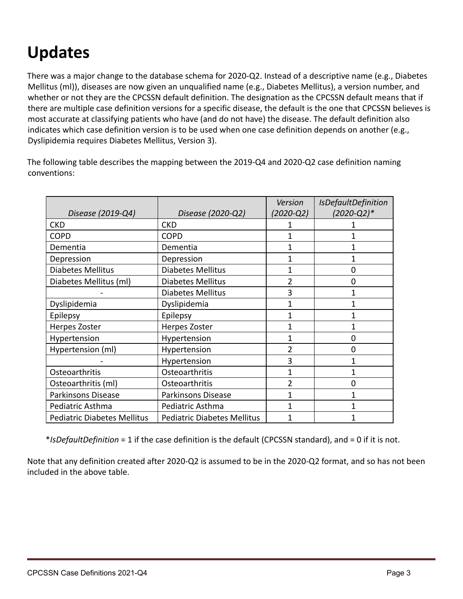# **Updates**

There was a major change to the database schema for 2020-Q2. Instead of a descriptive name (e.g., Diabetes Mellitus (ml)), diseases are now given an unqualified name (e.g., Diabetes Mellitus), a version number, and whether or not they are the CPCSSN default definition. The designation as the CPCSSN default means that if there are multiple case definition versions for a specific disease, the default is the one that CPCSSN believes is most accurate at classifying patients who have (and do not have) the disease. The default definition also indicates which case definition version is to be used when one case definition depends on another (e.g., Dyslipidemia requires Diabetes Mellitus, Version 3).

The following table describes the mapping between the 2019-Q4 and 2020-Q2 case definition naming conventions:

|                                    |                                    | Version        | <b>IsDefaultDefinition</b> |
|------------------------------------|------------------------------------|----------------|----------------------------|
| Disease (2019-Q4)                  | Disease (2020-Q2)                  | (2020-Q2)      | $(2020 - Q2)*$             |
| <b>CKD</b>                         | <b>CKD</b>                         |                |                            |
| <b>COPD</b>                        | <b>COPD</b>                        |                |                            |
| Dementia                           | Dementia                           |                |                            |
| Depression                         | Depression                         | $\mathbf{1}$   | 1                          |
| <b>Diabetes Mellitus</b>           | <b>Diabetes Mellitus</b>           | 1              | 0                          |
| Diabetes Mellitus (ml)             | <b>Diabetes Mellitus</b>           | $\overline{2}$ | 0                          |
|                                    | <b>Diabetes Mellitus</b>           | 3              |                            |
| Dyslipidemia                       | Dyslipidemia                       | 1              |                            |
| Epilepsy                           | Epilepsy                           | 1              |                            |
| Herpes Zoster                      | Herpes Zoster                      |                |                            |
| Hypertension                       | Hypertension                       |                | 0                          |
| Hypertension (ml)                  | Hypertension                       | $\overline{2}$ | 0                          |
|                                    | Hypertension                       | 3              | 1                          |
| Osteoarthritis                     | Osteoarthritis                     | 1              | 1                          |
| Osteoarthritis (ml)                | Osteoarthritis                     | 2              | 0                          |
| Parkinsons Disease                 | <b>Parkinsons Disease</b>          | 1              |                            |
| Pediatric Asthma                   | Pediatric Asthma                   |                |                            |
| <b>Pediatric Diabetes Mellitus</b> | <b>Pediatric Diabetes Mellitus</b> |                |                            |

\**IsDefaultDefinition* = 1 if the case definition is the default (CPCSSN standard), and = 0 if it is not.

Note that any definition created after 2020-Q2 is assumed to be in the 2020-Q2 format, and so has not been included in the above table.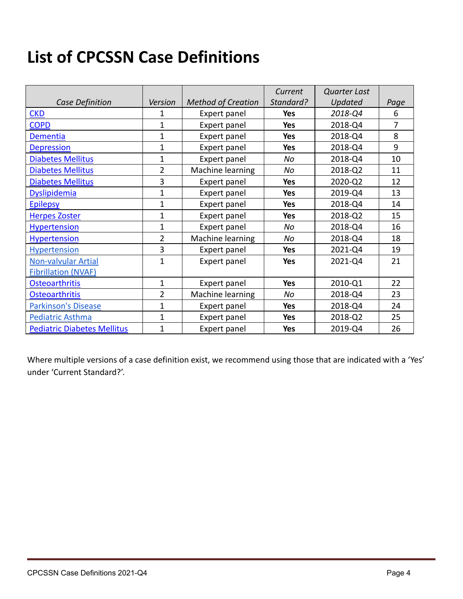# **List of CPCSSN Case Definitions**

|                                    |                |                           | Current    | <b>Quarter Last</b> |      |
|------------------------------------|----------------|---------------------------|------------|---------------------|------|
| <b>Case Definition</b>             | Version        | <b>Method of Creation</b> | Standard?  | Updated             | Page |
| <b>CKD</b>                         | 1              | Expert panel              | Yes        | 2018-Q4             | 6    |
| <b>COPD</b>                        | 1              | Expert panel              | <b>Yes</b> | 2018-Q4             | 7    |
| Dementia                           | $\mathbf{1}$   | Expert panel              | Yes        | 2018-Q4             | 8    |
| <b>Depression</b>                  | $\mathbf 1$    | Expert panel              | Yes        | 2018-Q4             | 9    |
| <b>Diabetes Mellitus</b>           | $\mathbf 1$    | Expert panel              | No         | 2018-Q4             | 10   |
| <b>Diabetes Mellitus</b>           | $\overline{2}$ | Machine learning          | No         | 2018-Q2             | 11   |
| <b>Diabetes Mellitus</b>           | 3              | Expert panel              | <b>Yes</b> | 2020-Q2             | 12   |
| <b>Dyslipidemia</b>                | $\overline{1}$ | Expert panel              | Yes        | 2019-Q4             | 13   |
| <b>Epilepsy</b>                    | 1              | Expert panel              | Yes        | 2018-Q4             | 14   |
| <b>Herpes Zoster</b>               | $\overline{1}$ | Expert panel              | Yes        | 2018-Q2             | 15   |
| <b>Hypertension</b>                | $\overline{1}$ | Expert panel              | No         | 2018-Q4             | 16   |
| <b>Hypertension</b>                | $\overline{2}$ | Machine learning          | No         | 2018-Q4             | 18   |
| Hypertension                       | 3              | Expert panel              | <b>Yes</b> | 2021-Q4             | 19   |
| Non-valvular Artial                | 1              | Expert panel              | Yes        | 2021-Q4             | 21   |
| <b>Fibrillation (NVAF)</b>         |                |                           |            |                     |      |
| <b>Osteoarthritis</b>              | $\mathbf 1$    | Expert panel              | <b>Yes</b> | 2010-Q1             | 22   |
| <b>Osteoarthritis</b>              | $\overline{2}$ | Machine learning          | No         | 2018-Q4             | 23   |
| <b>Parkinson's Disease</b>         | $\mathbf{1}$   | Expert panel              | Yes        | 2018-Q4             | 24   |
| <b>Pediatric Asthma</b>            | $\mathbf{1}$   | Expert panel              | Yes        | 2018-Q2             | 25   |
| <b>Pediatric Diabetes Mellitus</b> | 1              | Expert panel              | Yes        | 2019-Q4             | 26   |

Where multiple versions of a case definition exist, we recommend using those that are indicated with a 'Yes' under 'Current Standard?'.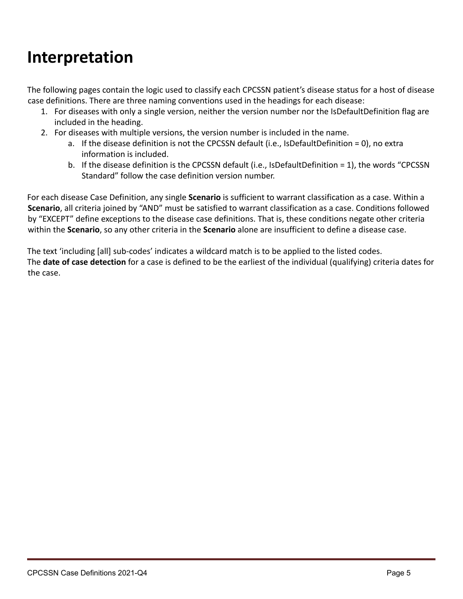### **Interpretation**

The following pages contain the logic used to classify each CPCSSN patient's disease status for a host of disease case definitions. There are three naming conventions used in the headings for each disease:

- 1. For diseases with only a single version, neither the version number nor the IsDefaultDefinition flag are included in the heading.
- 2. For diseases with multiple versions, the version number is included in the name.
	- a. If the disease definition is not the CPCSSN default (i.e., IsDefaultDefinition = 0), no extra information is included.
	- b. If the disease definition is the CPCSSN default (i.e., IsDefaultDefinition = 1), the words "CPCSSN Standard" follow the case definition version number.

For each disease Case Definition, any single **Scenario** is sufficient to warrant classification as a case. Within a **Scenario**, all criteria joined by "AND" must be satisfied to warrant classification as a case. Conditions followed by "EXCEPT" define exceptions to the disease case definitions. That is, these conditions negate other criteria within the **Scenario**, so any other criteria in the **Scenario** alone are insufficient to define a disease case.

The text 'including [all] sub-codes' indicates a wildcard match is to be applied to the listed codes. The **date of case detection** for a case is defined to be the earliest of the individual (qualifying) criteria dates for the case.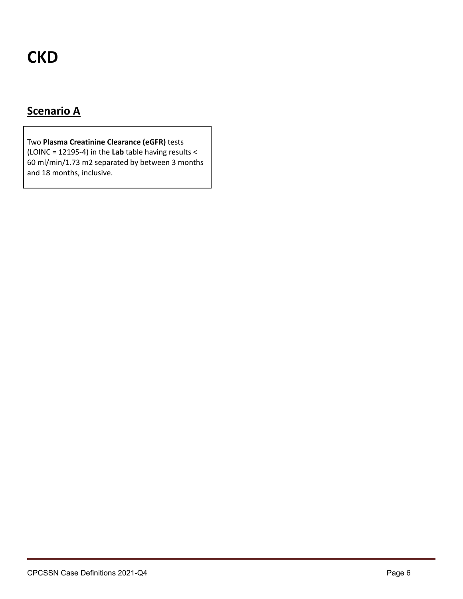# <span id="page-5-0"></span>**CKD**

### **Scenario A**

Two **Plasma Creatinine Clearance (eGFR)** tests (LOINC = 12195-4) in the **Lab** table having results < 60 ml/min/1.73 m2 separated by between 3 months and 18 months, inclusive.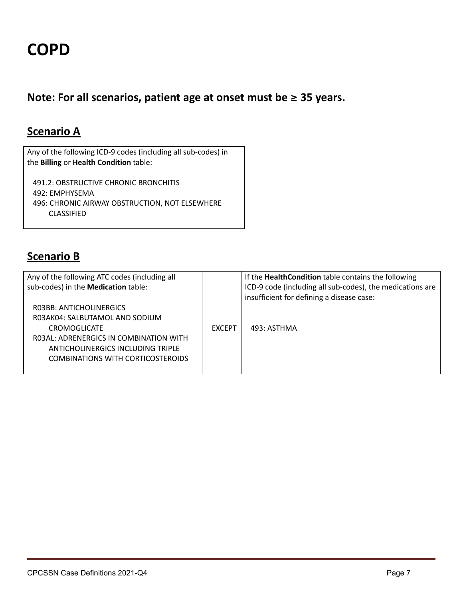<span id="page-6-0"></span>**Note: For all scenarios, patient age at onset must be <sup>≥</sup> 35 years.**

#### **Scenario A**

Any of the following ICD-9 codes (including all sub-codes) in the **Billing** or **Health Condition** table:

491.2: OBSTRUCTIVE CHRONIC BRONCHITIS 492: EMPHYSEMA 496: CHRONIC AIRWAY OBSTRUCTION, NOT ELSEWHERE CLASSIFIED

#### **Scenario B**

| Any of the following ATC codes (including all |               | If the HealthCondition table contains the following       |
|-----------------------------------------------|---------------|-----------------------------------------------------------|
| sub-codes) in the Medication table:           |               | ICD-9 code (including all sub-codes), the medications are |
|                                               |               | insufficient for defining a disease case:                 |
| RO3BB: ANTICHOLINERGICS                       |               |                                                           |
| RO3AK04: SALBUTAMOL AND SODIUM                |               |                                                           |
| <b>CROMOGLICATE</b>                           | <b>FXCEPT</b> | 493: ASTHMA                                               |
| ROBAL: ADRENERGICS IN COMBINATION WITH        |               |                                                           |
| ANTICHOLINERGICS INCLUDING TRIPLE             |               |                                                           |
| <b>COMBINATIONS WITH CORTICOSTEROIDS</b>      |               |                                                           |
|                                               |               |                                                           |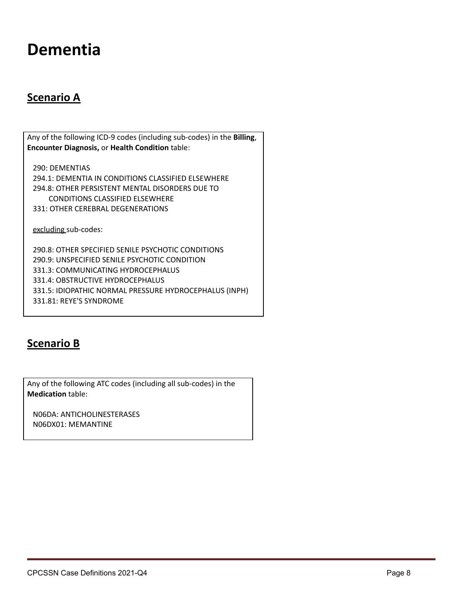### <span id="page-7-0"></span>**Dementia**

#### **Scenario A**

Any of the following ICD-9 codes (including sub-codes) in the **Billing**, **Encounter Diagnosis,** or **Health Condition** table:

290: DEMENTIAS 294.1: DEMENTIA IN CONDITIONS CLASSIFIED ELSEWHERE 294.8: OTHER PERSISTENT MENTAL DISORDERS DUE TO CONDITIONS CLASSIFIED ELSEWHERE 331: OTHER CEREBRAL DEGENERATIONS

excluding sub-codes:

290.8: OTHER SPECIFIED SENILE PSYCHOTIC CONDITIONS 290.9: UNSPECIFIED SENILE PSYCHOTIC CONDITION 331.3: COMMUNICATING HYDROCEPHALUS 331.4: OBSTRUCTIVE HYDROCEPHALUS 331.5: IDIOPATHIC NORMAL PRESSURE HYDROCEPHALUS (INPH) 331.81: REYE'S SYNDROME

#### **Scenario B**

Any of the following ATC codes (including all sub-codes) in the **Medication** table:

N06DA: ANTICHOLINESTERASES N06DX01: MEMANTINE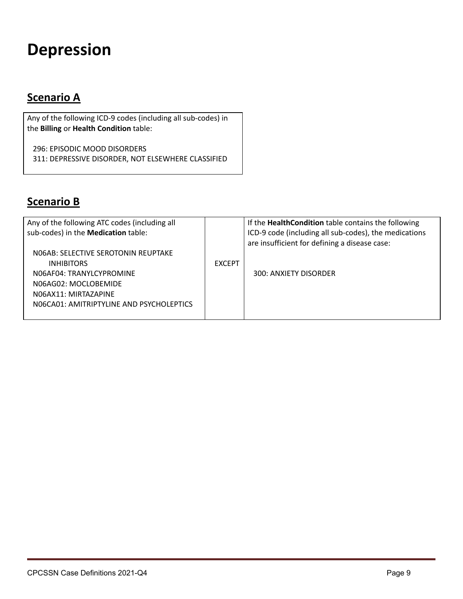# <span id="page-8-0"></span>**Depression**

#### **Scenario A**

Any of the following ICD-9 codes (including all sub-codes) in the **Billing** or **Health Condition** table:

296: EPISODIC MOOD DISORDERS 311: DEPRESSIVE DISORDER, NOT ELSEWHERE CLASSIFIED

#### **Scenario B**

| Any of the following ATC codes (including all |               | If the HealthCondition table contains the following                                                    |
|-----------------------------------------------|---------------|--------------------------------------------------------------------------------------------------------|
| sub-codes) in the Medication table:           |               | ICD-9 code (including all sub-codes), the medications<br>are insufficient for defining a disease case: |
| NO6AB: SELECTIVE SEROTONIN REUPTAKE           |               |                                                                                                        |
| <b>INHIBITORS</b>                             | <b>EXCEPT</b> |                                                                                                        |
| NO6AF04: TRANYLCYPROMINE                      |               | 300: ANXIETY DISORDER                                                                                  |
| N06AG02: MOCLOBEMIDE                          |               |                                                                                                        |
| NO6AX11: MIRTAZAPINE                          |               |                                                                                                        |
| NO6CA01: AMITRIPTYLINE AND PSYCHOLEPTICS      |               |                                                                                                        |
|                                               |               |                                                                                                        |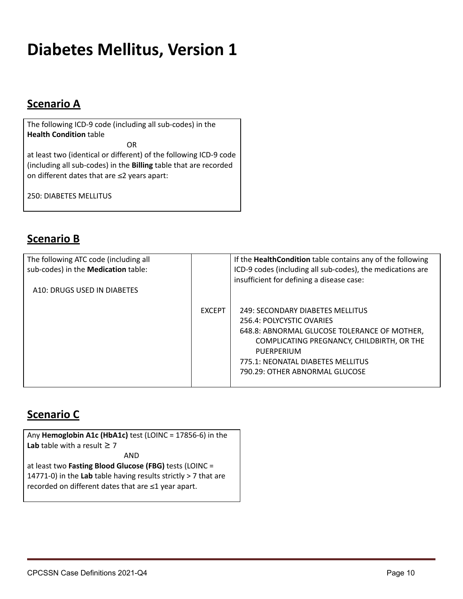# <span id="page-9-0"></span>**Diabetes Mellitus, Version 1**

### **Scenario A**

The following ICD-9 code (including all sub-codes) in the **Health Condition** table

OR

at least two (identical or different) of the following ICD-9 code (including all sub-codes) in the **Billing** table that are recorded on different dates that are ≤2 years apart:

250: DIABETES MELLITUS

#### **Scenario B**

| The following ATC code (including all<br>sub-codes) in the Medication table:<br>A10: DRUGS USED IN DIABETES |               | If the HealthCondition table contains any of the following<br>ICD-9 codes (including all sub-codes), the medications are<br>insufficient for defining a disease case:                                                                            |
|-------------------------------------------------------------------------------------------------------------|---------------|--------------------------------------------------------------------------------------------------------------------------------------------------------------------------------------------------------------------------------------------------|
|                                                                                                             | <b>EXCEPT</b> | 249: SECONDARY DIABETES MELLITUS<br>256.4: POLYCYSTIC OVARIES<br>648.8: ABNORMAL GLUCOSE TOLERANCE OF MOTHER,<br>COMPLICATING PREGNANCY, CHILDBIRTH, OR THE<br>PUFRPERIUM<br>775.1: NEONATAL DIABETES MELLITUS<br>790.29: OTHER ABNORMAL GLUCOSE |

#### **Scenario C**

Any **Hemoglobin A1c (HbA1c)** test (LOINC = 17856-6) in the **Lab** table with a result  $\geq 7$ AND at least two **Fasting Blood Glucose (FBG)** tests (LOINC = 14771-0) in the **Lab** table having results strictly > 7 that are recorded on different dates that are ≤1 year apart.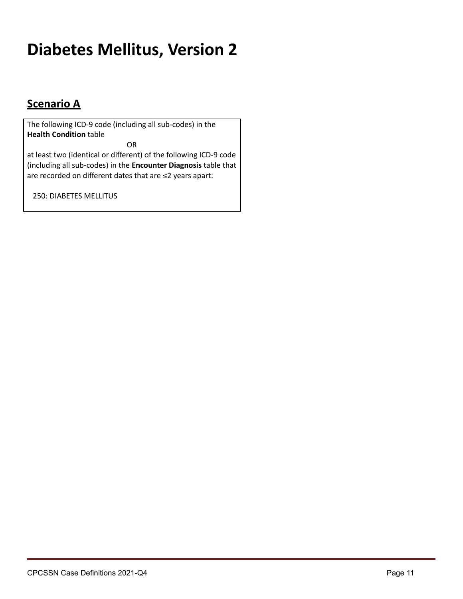# <span id="page-10-0"></span>**Diabetes Mellitus, Version 2**

### **Scenario A**

The following ICD-9 code (including all sub-codes) in the **Health Condition** table

OR

at least two (identical or different) of the following ICD-9 code (including all sub-codes) in the **Encounter Diagnosis** table that are recorded on different dates that are ≤2 years apart:

250: DIABETES MELLITUS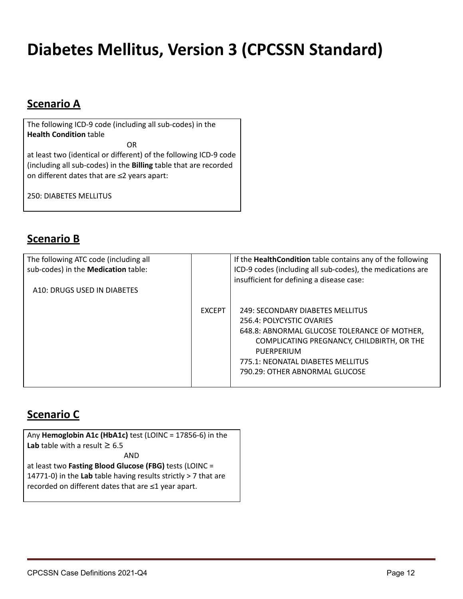# <span id="page-11-0"></span>**Diabetes Mellitus, Version 3 (CPCSSN Standard)**

### **Scenario A**

The following ICD-9 code (including all sub-codes) in the **Health Condition** table

OR

at least two (identical or different) of the following ICD-9 code (including all sub-codes) in the **Billing** table that are recorded on different dates that are ≤2 years apart:

250: DIABETES MELLITUS

#### **Scenario B**

| The following ATC code (including all<br>sub-codes) in the Medication table:<br>A10: DRUGS USED IN DIABETES |               | If the HealthCondition table contains any of the following<br>ICD-9 codes (including all sub-codes), the medications are<br>insufficient for defining a disease case:                                                                            |
|-------------------------------------------------------------------------------------------------------------|---------------|--------------------------------------------------------------------------------------------------------------------------------------------------------------------------------------------------------------------------------------------------|
|                                                                                                             | <b>EXCEPT</b> | 249: SECONDARY DIABETES MELLITUS<br>256.4: POLYCYSTIC OVARIES<br>648.8: ABNORMAL GLUCOSE TOLERANCE OF MOTHER,<br>COMPLICATING PREGNANCY, CHILDBIRTH, OR THE<br>PUFRPERIUM<br>775.1: NEONATAL DIABETES MELLITUS<br>790.29: OTHER ABNORMAL GLUCOSE |

#### **Scenario C**

Any **Hemoglobin A1c (HbA1c)** test (LOINC = 17856-6) in the **Lab** table with a result  $\geq 6.5$ AND at least two **Fasting Blood Glucose (FBG)** tests (LOINC = 14771-0) in the **Lab** table having results strictly > 7 that are recorded on different dates that are ≤1 year apart.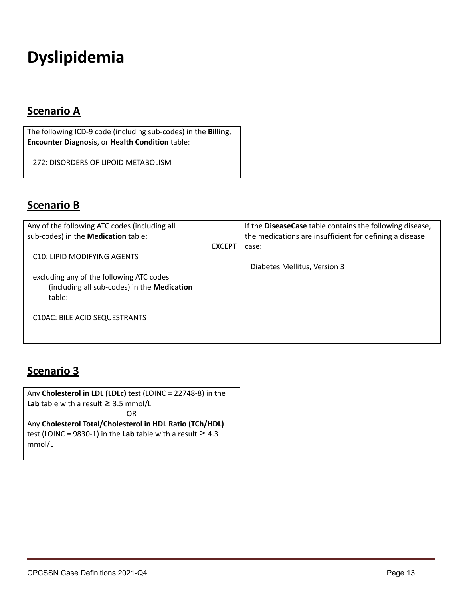# <span id="page-12-0"></span>**Dyslipidemia**

### **Scenario A**

The following ICD-9 code (including sub-codes) in the **Billing**, **Encounter Diagnosis**, or **Health Condition** table:

272: DISORDERS OF LIPOID METABOLISM

#### **Scenario B**

| Any of the following ATC codes (including all |               | If the DiseaseCase table contains the following disease, |
|-----------------------------------------------|---------------|----------------------------------------------------------|
| sub-codes) in the Medication table:           |               | the medications are insufficient for defining a disease  |
|                                               | <b>EXCEPT</b> | case:                                                    |
| C <sub>10</sub> : LIPID MODIFYING AGENTS      |               |                                                          |
|                                               |               | Diabetes Mellitus, Version 3                             |
| excluding any of the following ATC codes      |               |                                                          |
| (including all sub-codes) in the Medication   |               |                                                          |
| table:                                        |               |                                                          |
|                                               |               |                                                          |
| C10AC: BILE ACID SEQUESTRANTS                 |               |                                                          |
|                                               |               |                                                          |
|                                               |               |                                                          |

#### **Scenario 3**

Any **Cholesterol in LDL (LDLc)** test (LOINC = 22748-8) in the **Lab** table with a result  $\geq$  3.5 mmol/L OR Any **Cholesterol Total/Cholesterol in HDL Ratio (TCh/HDL)** test (LOINC = 9830-1) in the Lab table with a result  $\geq 4.3$ mmol/L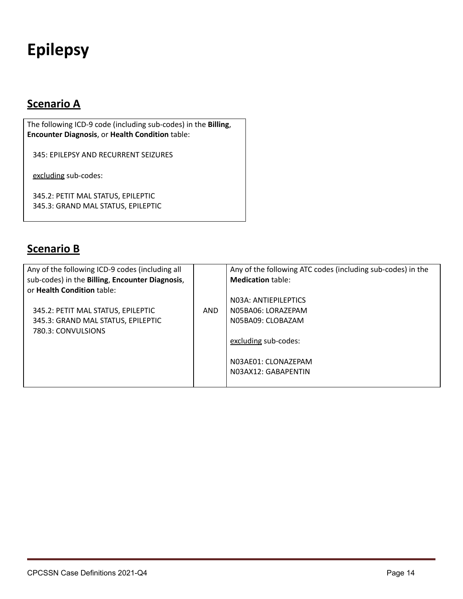# <span id="page-13-0"></span>**Epilepsy**

### **Scenario A**

The following ICD-9 code (including sub-codes) in the **Billing**, **Encounter Diagnosis**, or **Health Condition** table:

345: EPILEPSY AND RECURRENT SEIZURES

excluding sub-codes:

345.2: PETIT MAL STATUS, EPILEPTIC 345.3: GRAND MAL STATUS, EPILEPTIC

#### **Scenario B**

| Any of the following ICD-9 codes (including all |     | Any of the following ATC codes (including sub-codes) in the |
|-------------------------------------------------|-----|-------------------------------------------------------------|
| sub-codes) in the Billing, Encounter Diagnosis, |     | <b>Medication table:</b>                                    |
| or Health Condition table:                      |     |                                                             |
|                                                 |     | NO3A: ANTIFPILEPTICS                                        |
| 345.2: PETIT MAL STATUS, EPILEPTIC              | AND | N05BA06: LORAZEPAM                                          |
| 345.3: GRAND MAL STATUS, EPILEPTIC              |     | N05BA09: CLOBAZAM                                           |
| 780.3: CONVULSIONS                              |     |                                                             |
|                                                 |     | excluding sub-codes:                                        |
|                                                 |     | N03AF01: CLONAZEPAM                                         |
|                                                 |     | NO3AX12: GABAPENTIN                                         |
|                                                 |     |                                                             |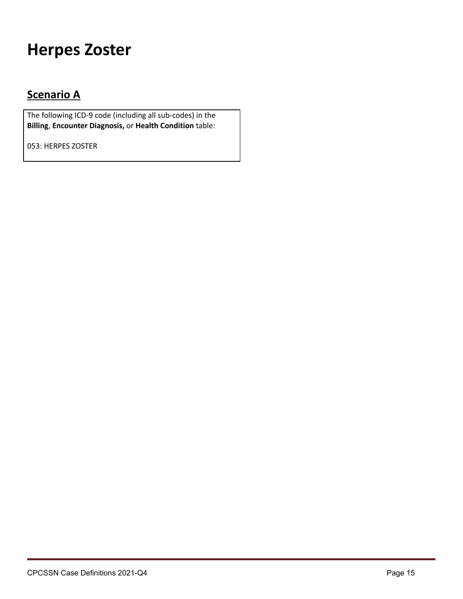## <span id="page-14-0"></span>**Herpes Zoster**

### **Scenario A**

The following ICD-9 code (including all sub-codes) in the **Billing**, **Encounter Diagnosis,** or **Health Condition** table:

053: HERPES ZOSTER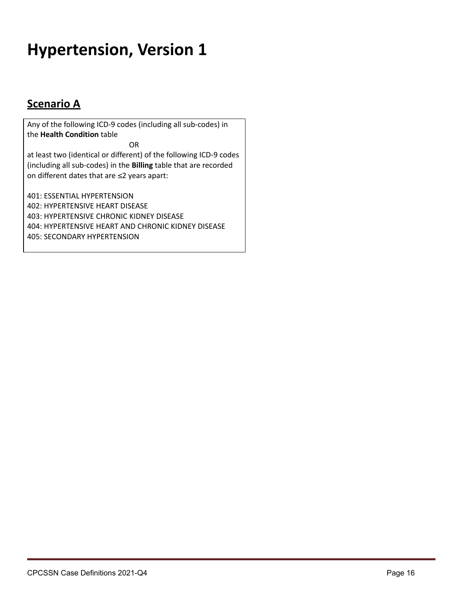# <span id="page-15-0"></span>**Hypertension, Version 1**

### **Scenario A**

Any of the following ICD-9 codes (including all sub-codes) in the **Health Condition** table

OR

at least two (identical or different) of the following ICD-9 codes (including all sub-codes) in the **Billing** table that are recorded on different dates that are ≤2 years apart:

401: ESSENTIAL HYPERTENSION 402: HYPERTENSIVE HEART DISEASE 403: HYPERTENSIVE CHRONIC KIDNEY DISEASE 404: HYPERTENSIVE HEART AND CHRONIC KIDNEY DISEASE 405: SECONDARY HYPERTENSION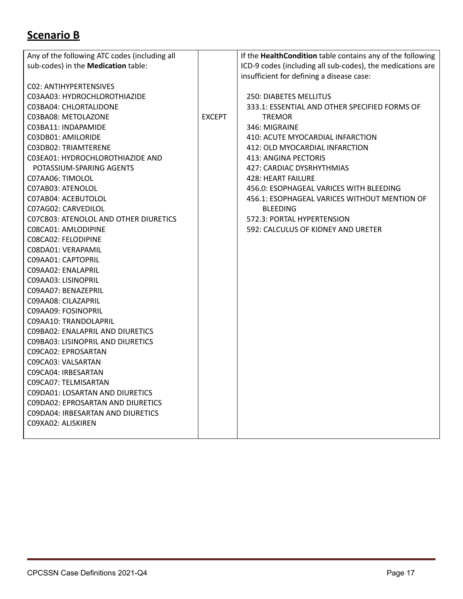### **Scenario B**

| Any of the following ATC codes (including all |               | If the HealthCondition table contains any of the following |
|-----------------------------------------------|---------------|------------------------------------------------------------|
| sub-codes) in the Medication table:           |               | ICD-9 codes (including all sub-codes), the medications are |
|                                               |               | insufficient for defining a disease case:                  |
| CO2: ANTIHYPERTENSIVES                        |               |                                                            |
| C03AA03: HYDROCHLOROTHIAZIDE                  |               | 250: DIABETES MELLITUS                                     |
| C03BA04: CHLORTALIDONE                        |               | 333.1: ESSENTIAL AND OTHER SPECIFIED FORMS OF              |
| C03BA08: METOLAZONE                           | <b>EXCEPT</b> | <b>TREMOR</b>                                              |
| C03BA11: INDAPAMIDE                           |               | 346: MIGRAINE                                              |
| C03DB01: AMILORIDE                            |               | 410: ACUTE MYOCARDIAL INFARCTION                           |
| C03DB02: TRIAMTERENE                          |               | 412: OLD MYOCARDIAL INFARCTION                             |
| CO3EA01: HYDROCHLOROTHIAZIDE AND              |               | 413: ANGINA PECTORIS                                       |
| POTASSIUM-SPARING AGENTS                      |               | 427: CARDIAC DYSRHYTHMIAS                                  |
| C07AA06: TIMOLOL                              |               | <b>428: HEART FAILURE</b>                                  |
| C07AB03: ATENOLOL                             |               | 456.0: ESOPHAGEAL VARICES WITH BLEEDING                    |
| C07AB04: ACEBUTOLOL                           |               | 456.1: ESOPHAGEAL VARICES WITHOUT MENTION OF               |
| C07AG02: CARVEDILOL                           |               | <b>BLEEDING</b>                                            |
| CO7CB03: ATENOLOL AND OTHER DIURETICS         |               | 572.3: PORTAL HYPERTENSION                                 |
| C08CA01: AMLODIPINE                           |               | 592: CALCULUS OF KIDNEY AND URETER                         |
| C08CA02: FELODIPINE                           |               |                                                            |
| C08DA01: VERAPAMIL                            |               |                                                            |
| C09AA01: CAPTOPRIL                            |               |                                                            |
| C09AA02: ENALAPRIL                            |               |                                                            |
| C09AA03: LISINOPRIL                           |               |                                                            |
| C09AA07: BENAZEPRIL                           |               |                                                            |
| C09AA08: CILAZAPRIL                           |               |                                                            |
| C09AA09: FOSINOPRIL                           |               |                                                            |
| C09AA10: TRANDOLAPRIL                         |               |                                                            |
| CO9BA02: ENALAPRIL AND DIURETICS              |               |                                                            |
| C09BA03: LISINOPRIL AND DIURETICS             |               |                                                            |
| C09CA02: EPROSARTAN                           |               |                                                            |
| C09CA03: VALSARTAN                            |               |                                                            |
| C09CA04: IRBESARTAN                           |               |                                                            |
| C09CA07: TELMISARTAN                          |               |                                                            |
| CO9DA01: LOSARTAN AND DIURETICS               |               |                                                            |
| CO9DAO2: EPROSARTAN AND DIURETICS             |               |                                                            |
| CO9DA04: IRBESARTAN AND DIURETICS             |               |                                                            |
| C09XA02: ALISKIREN                            |               |                                                            |
|                                               |               |                                                            |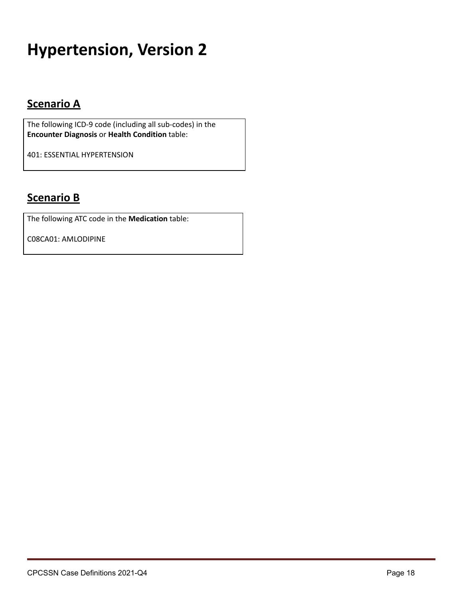# <span id="page-17-0"></span>**Hypertension, Version 2**

### **Scenario A**

The following ICD-9 code (including all sub-codes) in the **Encounter Diagnosis** or **Health Condition** table:

401: ESSENTIAL HYPERTENSION

#### **Scenario B**

The following ATC code in the **Medication** table:

C08CA01: AMLODIPINE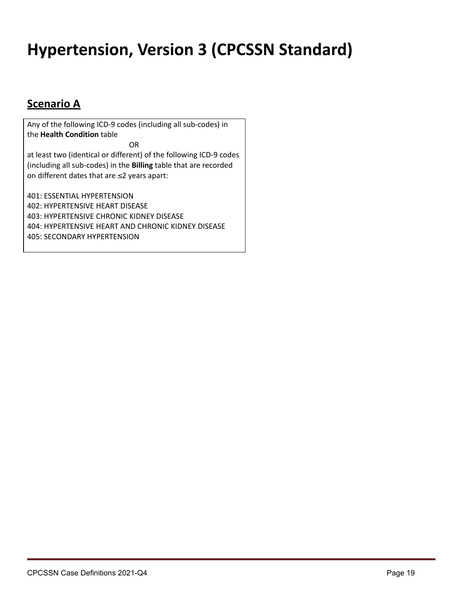# <span id="page-18-0"></span>**Hypertension, Version 3 (CPCSSN Standard)**

### **Scenario A**

Any of the following ICD-9 codes (including all sub-codes) in the **Health Condition** table

OR

at least two (identical or different) of the following ICD-9 codes (including all sub-codes) in the **Billing** table that are recorded on different dates that are ≤2 years apart:

401: ESSENTIAL HYPERTENSION 402: HYPERTENSIVE HEART DISEASE 403: HYPERTENSIVE CHRONIC KIDNEY DISEASE 404: HYPERTENSIVE HEART AND CHRONIC KIDNEY DISEASE 405: SECONDARY HYPERTENSION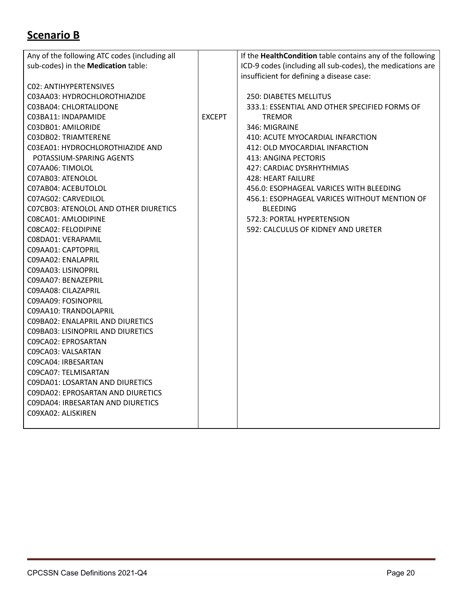### **Scenario B**

| Any of the following ATC codes (including all |               | If the HealthCondition table contains any of the following |
|-----------------------------------------------|---------------|------------------------------------------------------------|
| sub-codes) in the Medication table:           |               | ICD-9 codes (including all sub-codes), the medications are |
|                                               |               | insufficient for defining a disease case:                  |
| CO2: ANTIHYPERTENSIVES                        |               |                                                            |
| C03AA03: HYDROCHLOROTHIAZIDE                  |               | <b>250: DIABETES MELLITUS</b>                              |
| C03BA04: CHLORTALIDONE                        |               | 333.1: ESSENTIAL AND OTHER SPECIFIED FORMS OF              |
| C03BA11: INDAPAMIDE                           | <b>EXCEPT</b> | <b>TREMOR</b>                                              |
| C03DB01: AMILORIDE                            |               | 346: MIGRAINE                                              |
| C03DB02: TRIAMTERENE                          |               | 410: ACUTE MYOCARDIAL INFARCTION                           |
| C03EA01: HYDROCHLOROTHIAZIDE AND              |               | 412: OLD MYOCARDIAL INFARCTION                             |
| POTASSIUM-SPARING AGENTS                      |               | 413: ANGINA PECTORIS                                       |
| C07AA06: TIMOLOL                              |               | 427: CARDIAC DYSRHYTHMIAS                                  |
| C07AB03: ATENOLOL                             |               | <b>428: HEART FAILURE</b>                                  |
| C07AB04: ACEBUTOLOL                           |               | 456.0: ESOPHAGEAL VARICES WITH BLEEDING                    |
| C07AG02: CARVEDILOL                           |               | 456.1: ESOPHAGEAL VARICES WITHOUT MENTION OF               |
| CO7CB03: ATENOLOL AND OTHER DIURETICS         |               | <b>BLEEDING</b>                                            |
| C08CA01: AMLODIPINE                           |               | 572.3: PORTAL HYPERTENSION                                 |
| C08CA02: FELODIPINE                           |               | 592: CALCULUS OF KIDNEY AND URETER                         |
| C08DA01: VERAPAMIL                            |               |                                                            |
| C09AA01: CAPTOPRIL                            |               |                                                            |
| C09AA02: ENALAPRIL                            |               |                                                            |
| C09AA03: LISINOPRIL                           |               |                                                            |
| C09AA07: BENAZEPRIL                           |               |                                                            |
| C09AA08: CILAZAPRIL                           |               |                                                            |
| C09AA09: FOSINOPRIL                           |               |                                                            |
| C09AA10: TRANDOLAPRIL                         |               |                                                            |
| CO9BAO2: ENALAPRIL AND DIURETICS              |               |                                                            |
| CO9BA03: LISINOPRIL AND DIURETICS             |               |                                                            |
| C09CA02: EPROSARTAN                           |               |                                                            |
| C09CA03: VALSARTAN                            |               |                                                            |
| CO9CA04: IRBESARTAN                           |               |                                                            |
| C09CA07: TELMISARTAN                          |               |                                                            |
| CO9DA01: LOSARTAN AND DIURETICS               |               |                                                            |
| CO9DAO2: EPROSARTAN AND DIURETICS             |               |                                                            |
| CO9DA04: IRBESARTAN AND DIURETICS             |               |                                                            |
| C09XA02: ALISKIREN                            |               |                                                            |
|                                               |               |                                                            |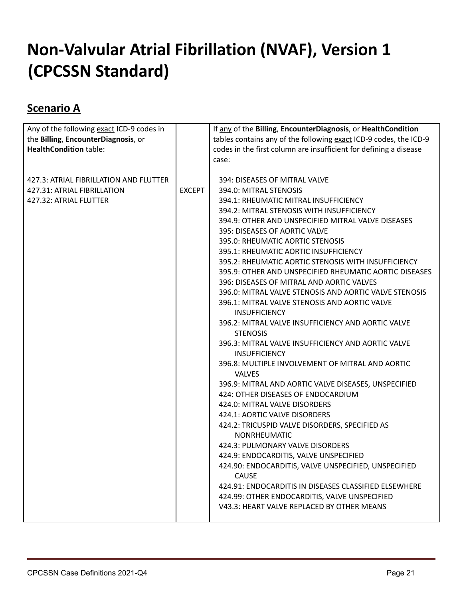# <span id="page-20-0"></span>**Non-Valvular Atrial Fibrillation (NVAF), Version 1 (CPCSSN Standard)**

#### **Scenario A**

| Any of the following exact ICD-9 codes in |               | If any of the Billing, EncounterDiagnosis, or HealthCondition              |
|-------------------------------------------|---------------|----------------------------------------------------------------------------|
| the Billing, EncounterDiagnosis, or       |               | tables contains any of the following exact ICD-9 codes, the ICD-9          |
| <b>HealthCondition table:</b>             |               | codes in the first column are insufficient for defining a disease          |
|                                           |               | case:                                                                      |
|                                           |               |                                                                            |
| 427.3: ATRIAL FIBRILLATION AND FLUTTER    |               | 394: DISEASES OF MITRAL VALVE                                              |
| 427.31: ATRIAL FIBRILLATION               | <b>EXCEPT</b> | 394.0: MITRAL STENOSIS                                                     |
| 427.32: ATRIAL FLUTTER                    |               | 394.1: RHEUMATIC MITRAL INSUFFICIENCY                                      |
|                                           |               | 394.2: MITRAL STENOSIS WITH INSUFFICIENCY                                  |
|                                           |               | 394.9: OTHER AND UNSPECIFIED MITRAL VALVE DISEASES                         |
|                                           |               | 395: DISEASES OF AORTIC VALVE                                              |
|                                           |               | 395.0: RHEUMATIC AORTIC STENOSIS                                           |
|                                           |               | 395.1: RHEUMATIC AORTIC INSUFFICIENCY                                      |
|                                           |               | 395.2: RHEUMATIC AORTIC STENOSIS WITH INSUFFICIENCY                        |
|                                           |               | 395.9: OTHER AND UNSPECIFIED RHEUMATIC AORTIC DISEASES                     |
|                                           |               | 396: DISEASES OF MITRAL AND AORTIC VALVES                                  |
|                                           |               | 396.0: MITRAL VALVE STENOSIS AND AORTIC VALVE STENOSIS                     |
|                                           |               | 396.1: MITRAL VALVE STENOSIS AND AORTIC VALVE                              |
|                                           |               | <b>INSUFFICIENCY</b>                                                       |
|                                           |               | 396.2: MITRAL VALVE INSUFFICIENCY AND AORTIC VALVE                         |
|                                           |               | <b>STENOSIS</b>                                                            |
|                                           |               | 396.3: MITRAL VALVE INSUFFICIENCY AND AORTIC VALVE<br><b>INSUFFICIENCY</b> |
|                                           |               | 396.8: MULTIPLE INVOLVEMENT OF MITRAL AND AORTIC                           |
|                                           |               | <b>VALVES</b>                                                              |
|                                           |               | 396.9: MITRAL AND AORTIC VALVE DISEASES, UNSPECIFIED                       |
|                                           |               | 424: OTHER DISEASES OF ENDOCARDIUM                                         |
|                                           |               | 424.0: MITRAL VALVE DISORDERS                                              |
|                                           |               | 424.1: AORTIC VALVE DISORDERS                                              |
|                                           |               | 424.2: TRICUSPID VALVE DISORDERS, SPECIFIED AS<br>NONRHEUMATIC             |
|                                           |               | 424.3: PULMONARY VALVE DISORDERS                                           |
|                                           |               | 424.9: ENDOCARDITIS, VALVE UNSPECIFIED                                     |
|                                           |               | 424.90: ENDOCARDITIS, VALVE UNSPECIFIED, UNSPECIFIED                       |
|                                           |               | <b>CAUSE</b>                                                               |
|                                           |               | 424.91: ENDOCARDITIS IN DISEASES CLASSIFIED ELSEWHERE                      |
|                                           |               | 424.99: OTHER ENDOCARDITIS, VALVE UNSPECIFIED                              |
|                                           |               | V43.3: HEART VALVE REPLACED BY OTHER MEANS                                 |
|                                           |               |                                                                            |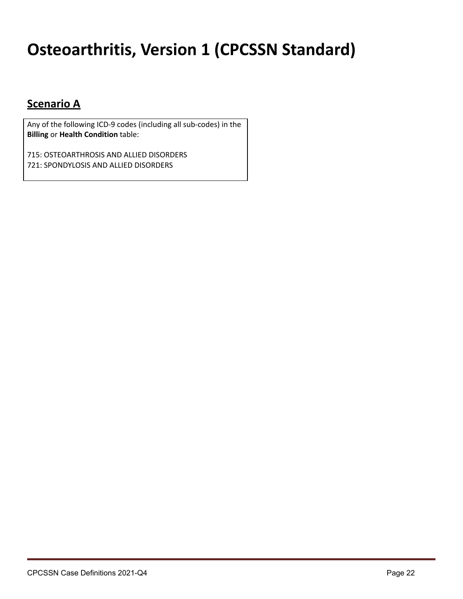# <span id="page-21-0"></span>**Osteoarthritis, Version 1 (CPCSSN Standard)**

#### **Scenario A**

Any of the following ICD-9 codes (including all sub-codes) in the **Billing** or **Health Condition** table:

715: OSTEOARTHROSIS AND ALLIED DISORDERS 721: SPONDYLOSIS AND ALLIED DISORDERS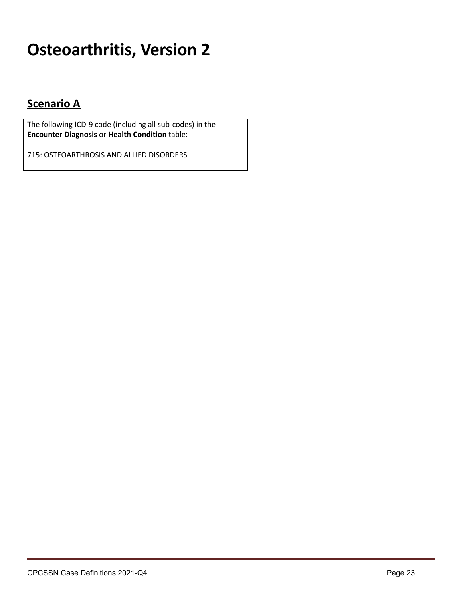# <span id="page-22-0"></span>**Osteoarthritis, Version 2**

#### **Scenario A**

The following ICD-9 code (including all sub-codes) in the **Encounter Diagnosis** or **Health Condition** table:

715: OSTEOARTHROSIS AND ALLIED DISORDERS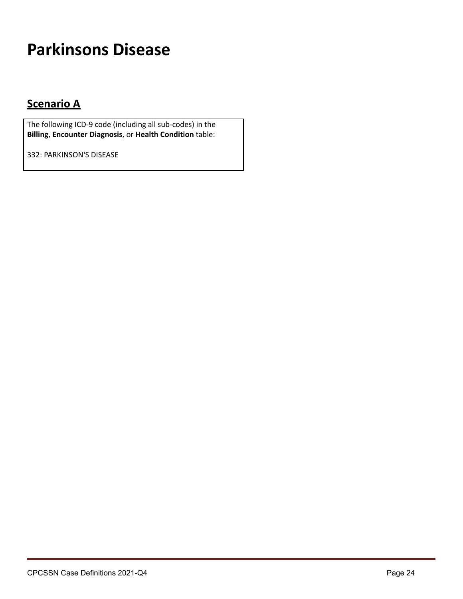# <span id="page-23-0"></span>**Parkinsons Disease**

### **Scenario A**

The following ICD-9 code (including all sub-codes) in the **Billing**, **Encounter Diagnosis**, or **Health Condition** table:

332: PARKINSON'S DISEASE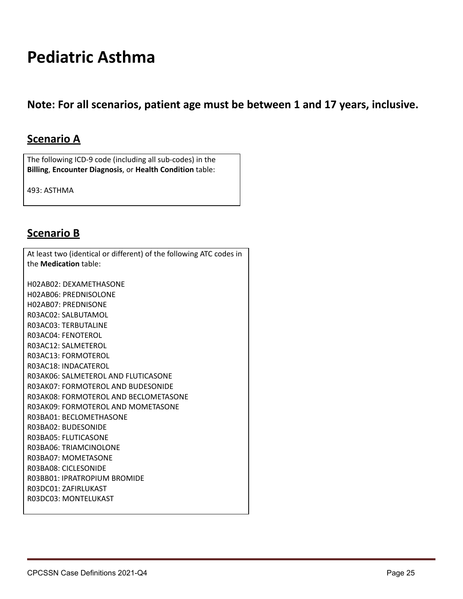### <span id="page-24-0"></span>**Pediatric Asthma**

**Note: For all scenarios, patient age must be between 1 and 17 years, inclusive.**

#### **Scenario A**

The following ICD-9 code (including all sub-codes) in the **Billing**, **Encounter Diagnosis**, or **Health Condition** table:

493: ASTHMA

#### **Scenario B**

At least two (identical or different) of the following ATC codes in the **Medication** table: H02AB02: DEXAMETHASONE H02AB06: PREDNISOLONE H02AB07: PREDNISONE R03AC02: SALBUTAMOL R03AC03: TERBUTALINE R03AC04: FENOTEROL R03AC12: SALMETEROL R03AC13: FORMOTEROL R03AC18: INDACATEROL R03AK06: SALMETEROL AND FLUTICASONE R03AK07: FORMOTEROL AND BUDESONIDE R03AK08: FORMOTEROL AND BECLOMETASONE R03AK09: FORMOTEROL AND MOMETASONE R03BA01: BECLOMETHASONE R03BA02: BUDESONIDE R03BA05: FLUTICASONE R03BA06: TRIAMCINOLONE R03BA07: MOMETASONE R03BA08: CICLESONIDE R03BB01: IPRATROPIUM BROMIDE R03DC01: ZAFIRLUKAST R03DC03: MONTELUKAST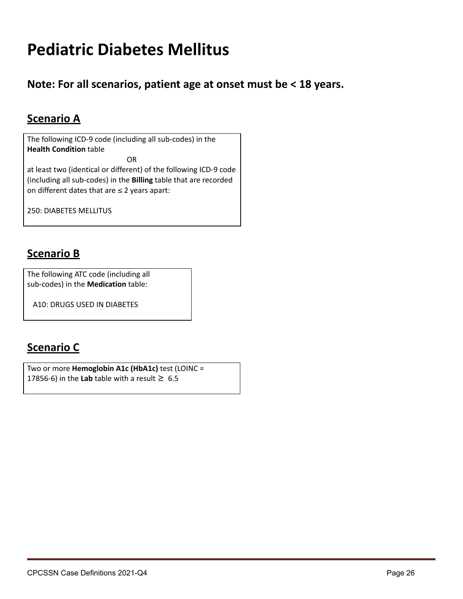## <span id="page-25-0"></span>**Pediatric Diabetes Mellitus**

**Note: For all scenarios, patient age at onset must be < 18 years.**

### **Scenario A**

The following ICD-9 code (including all sub-codes) in the **Health Condition** table

OR at least two (identical or different) of the following ICD-9 code (including all sub-codes) in the **Billing** table that are recorded on different dates that are  $\leq 2$  years apart:

250: DIABETES MELLITUS

#### **Scenario B**

The following ATC code (including all sub-codes) in the **Medication** table:

A10: DRUGS USED IN DIABETES

#### **Scenario C**

Two or more **Hemoglobin A1c (HbA1c)** test (LOINC = 17856-6) in the Lab table with a result  $\geq 6.5$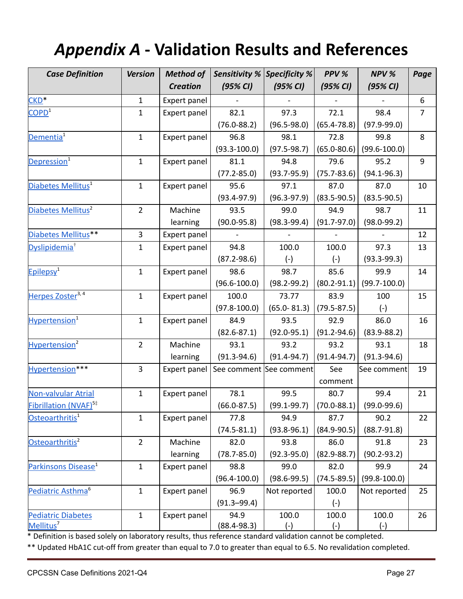# *Appendix A* **- Validation Results and References**

| <b>Case Definition</b>            | <b>Version</b> | <b>Method of</b> |                         | <b>Sensitivity % Specificity %</b> | PPV %           | NPV %                                     | Page           |
|-----------------------------------|----------------|------------------|-------------------------|------------------------------------|-----------------|-------------------------------------------|----------------|
|                                   |                | <b>Creation</b>  | (95% CI)                | (95% CI)                           |                 | (95% CI)                                  |                |
| CKD <sup>*</sup>                  | $\mathbf{1}$   | Expert panel     |                         |                                    |                 |                                           | 6              |
| COPD <sup>1</sup>                 | $\mathbf{1}$   | Expert panel     | 82.1                    | 97.3                               | 72.1            | 98.4                                      | $\overline{7}$ |
|                                   |                |                  | $(76.0 - 88.2)$         | $(96.5 - 98.0)$                    | $(65.4 - 78.8)$ | $(97.9 - 99.0)$                           |                |
| Dementia <sup>1</sup>             | $\mathbf{1}$   | Expert panel     | 96.8                    | 98.1                               | 72.8            | 99.8                                      | 8              |
|                                   |                |                  | $(93.3 - 100.0)$        | $(97.5 - 98.7)$                    | $(65.0 - 80.6)$ | $(99.6 - 100.0)$                          |                |
| Depression <sup>1</sup>           | $\mathbf{1}$   | Expert panel     | 81.1                    | 94.8                               | 79.6            | 95.2                                      | 9              |
|                                   |                |                  | $(77.2 - 85.0)$         | $(93.7 - 95.9)$                    | $(75.7 - 83.6)$ | $(94.1 - 96.3)$                           |                |
| Diabetes Mellitus <sup>1</sup>    | $\mathbf{1}$   | Expert panel     | 95.6                    | 97.1                               | 87.0            | 87.0                                      | 10             |
|                                   |                |                  | $(93.4 - 97.9)$         | $(96.3 - 97.9)$                    | $(83.5 - 90.5)$ | $(83.5 - 90.5)$                           |                |
| Diabetes Mellitus <sup>2</sup>    | $\overline{2}$ | Machine          | 93.5                    | 99.0                               | 94.9            | 98.7                                      | 11             |
|                                   |                | learning         | $(90.0 - 95.8)$         | $(98.3 - 99.4)$                    | $(91.7 - 97.0)$ | $(98.0 - 99.2)$                           |                |
| Diabetes Mellitus**               | 3              | Expert panel     |                         |                                    |                 |                                           | 12             |
| Dyslipidemia <sup>†</sup>         | $\mathbf{1}$   | Expert panel     | 94.8                    | 100.0                              | 100.0           | 97.3                                      | 13             |
|                                   |                |                  | $(87.2 - 98.6)$         | $(-)$                              | $(-)$           | $(93.3 - 99.3)$                           |                |
| Epilepsy <sup>1</sup>             | $\mathbf{1}$   | Expert panel     | 98.6                    | 98.7                               | 85.6            | 99.9                                      | 14             |
|                                   |                |                  | $(96.6 - 100.0)$        | $(98.2 - 99.2)$                    | $(80.2 - 91.1)$ | $(99.7 - 100.0)$                          |                |
| Herpes Zoster <sup>3, 4</sup>     | $\mathbf{1}$   | Expert panel     | 100.0                   | 73.77                              | 83.9            | 100                                       | 15             |
|                                   |                |                  | $(97.8 - 100.0)$        | $(65.0 - 81.3)$                    | $(79.5 - 87.5)$ | $(-)$                                     |                |
| Hypertension <sup>1</sup>         | $\mathbf{1}$   | Expert panel     | 84.9                    | 93.5                               | 92.9            | 86.0                                      | 16             |
|                                   |                |                  | $(82.6 - 87.1)$         | $(92.0 - 95.1)$                    | $(91.2 - 94.6)$ | $(83.9 - 88.2)$                           |                |
| Hypertension <sup>2</sup>         | $\overline{2}$ | Machine          | 93.1                    | 93.2                               | 93.2            | 93.1                                      | 18             |
|                                   |                | learning         | $(91.3 - 94.6)$         | $(91.4 - 94.7)$                    | $(91.4 - 94.7)$ | $(91.3 - 94.6)$                           |                |
| Hypertension***                   | $\overline{3}$ | Expert panel     | See comment See comment |                                    | See             | See comment                               | 19             |
|                                   |                |                  |                         |                                    | comment         |                                           |                |
| <b>Non-valvular Atrial</b>        | $\mathbf{1}$   | Expert panel     | 78.1                    | 99.5                               | 80.7            | 99.4                                      | 21             |
| Fibrillation (NVAF) <sup>5‡</sup> |                |                  | $(66.0 - 87.5)$         |                                    |                 | $(99.1-99.7)$ $(70.0-88.1)$ $(99.0-99.6)$ |                |
| Osteoarthritis <sup>1</sup>       | $\mathbf{1}$   | Expert panel     | 77.8                    | 94.9                               | 87.7            | 90.2                                      | 22             |
|                                   |                |                  | $(74.5 - 81.1)$         | $(93.8 - 96.1)$                    | $(84.9 - 90.5)$ | $(88.7 - 91.8)$                           |                |
| Osteoarthritis <sup>2</sup>       | $\overline{2}$ | Machine          | 82.0                    | 93.8                               | 86.0            | 91.8                                      | 23             |
|                                   |                | learning         | $(78.7 - 85.0)$         | $(92.3 - 95.0)$                    | $(82.9 - 88.7)$ | $(90.2 - 93.2)$                           |                |
| Parkinsons Disease <sup>1</sup>   | $\mathbf{1}$   | Expert panel     | 98.8                    | 99.0                               | 82.0            | 99.9                                      | 24             |
|                                   |                |                  | $(96.4 - 100.0)$        | $(98.6 - 99.5)$                    | $(74.5 - 89.5)$ | $(99.8 - 100.0)$                          |                |
| Pediatric Asthma <sup>6</sup>     | $\mathbf{1}$   | Expert panel     | 96.9                    | Not reported                       | 100.0           | Not reported                              | 25             |
|                                   |                |                  | $(91.3 - 99.4)$         |                                    | $(-)$           |                                           |                |
| <b>Pediatric Diabetes</b>         | $\mathbf{1}$   | Expert panel     | 94.9                    | 100.0                              | 100.0           | 100.0                                     | 26             |
| Mellitus <sup>7</sup>             |                |                  | $(88.4 - 98.3)$         | $(-)$                              | $(-)$           | $(-)$                                     |                |

\* Definition is based solely on laboratory results, thus reference standard validation cannot be completed.

\*\* Updated HbA1C cut-off from greater than equal to 7.0 to greater than equal to 6.5. No revalidation completed.